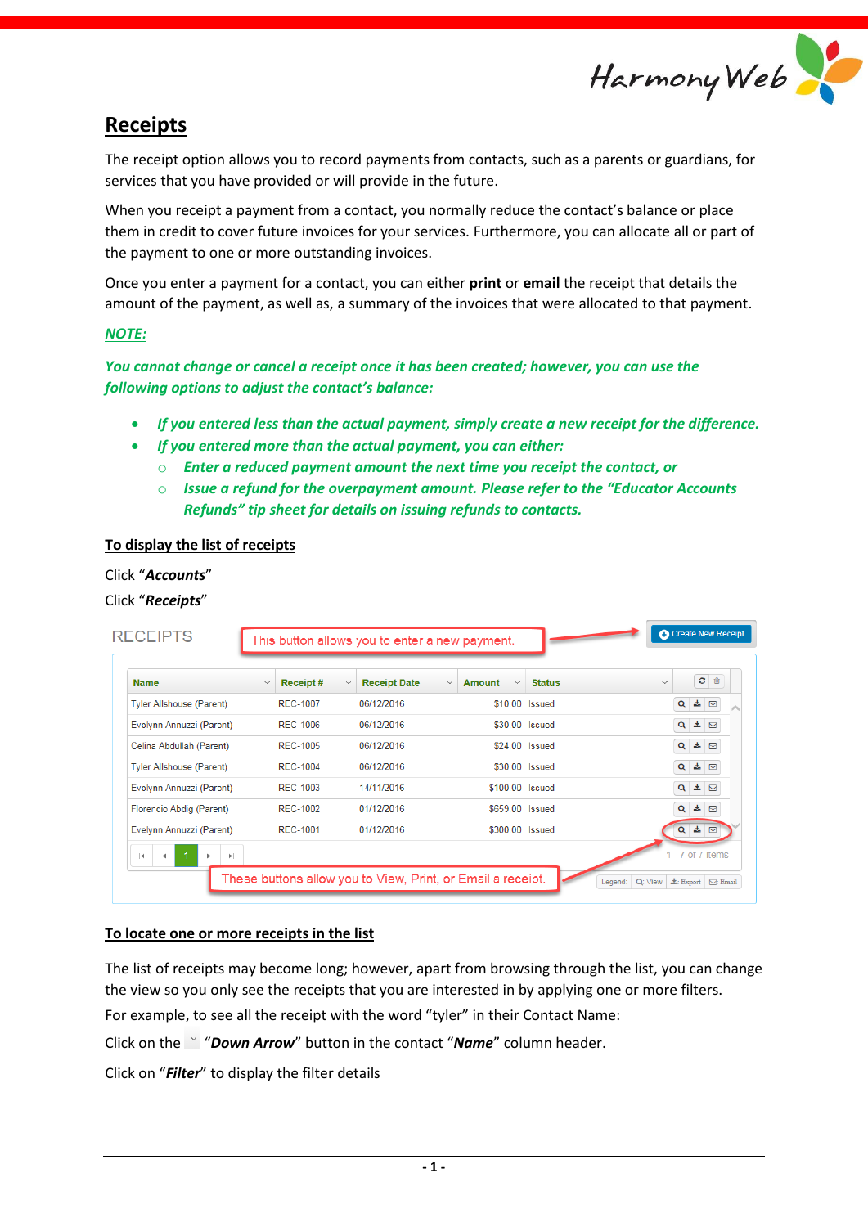

## **Receipts**

The receipt option allows you to record payments from contacts, such as a parents or guardians, for services that you have provided or will provide in the future.

When you receipt a payment from a contact, you normally reduce the contact's balance or place them in credit to cover future invoices for your services. Furthermore, you can allocate all or part of the payment to one or more outstanding invoices.

Once you enter a payment for a contact, you can either **print** or **email** the receipt that details the amount of the payment, as well as, a summary of the invoices that were allocated to that payment.

#### *NOTE:*

*You cannot change or cancel a receipt once it has been created; however, you can use the following options to adjust the contact's balance:*

- *If you entered less than the actual payment, simply create a new receipt for the difference.*
- *If you entered more than the actual payment, you can either:*
	- o *Enter a reduced payment amount the next time you receipt the contact, or*
	- o *Issue a refund for the overpayment amount. Please refer to the "Educator Accounts Refunds" tip sheet for details on issuing refunds to contacts.*

## **To display the list of receipts**

#### Click "*Accounts*"

#### Click "*Receipts*"

|                                 |                           |                                     |                                               |               | ø<br>û               |
|---------------------------------|---------------------------|-------------------------------------|-----------------------------------------------|---------------|----------------------|
| <b>Name</b>                     | Receipt #<br>$\checkmark$ | <b>Receipt Date</b><br>$\checkmark$ | <b>Amount</b><br>$\checkmark$<br>$\checkmark$ | <b>Status</b> | $\checkmark$         |
| <b>Tyler Allshouse (Parent)</b> | <b>REC-1007</b>           | 06/12/2016                          | \$10.00 Issued                                |               | 击<br>Q<br>$\Box$     |
| Evelynn Annuzzi (Parent)        | <b>REC-1006</b>           | 06/12/2016                          | \$30.00 Issued                                |               | $Q = 1$              |
| Celina Abdullah (Parent)        | <b>REC-1005</b>           | 06/12/2016                          | \$24.00 Issued                                |               | ▲ ⊠<br>Q             |
| <b>Tyler Allshouse (Parent)</b> | <b>REC-1004</b>           | 06/12/2016                          | \$30.00 Issued                                |               | ▲ ⊠<br>Q             |
| Evelynn Annuzzi (Parent)        | <b>REC-1003</b>           | 14/11/2016                          | \$100.00 Issued                               |               | ≛ ⊠<br>$\alpha$      |
| Florencio Abdig (Parent)        | REC-1002                  | 01/12/2016                          | \$659.00 Issued                               |               | ≛ ⊠<br>Q             |
| Evelynn Annuzzi (Parent)        | RFC-1001                  | 01/12/2016                          | \$300.00 Issued                               |               | $Q \triangleq \Box$  |
| H<br>Ħ                          |                           |                                     |                                               |               | $1 - 7$ of $7$ items |

#### **To locate one or more receipts in the list**

The list of receipts may become long; however, apart from browsing through the list, you can change the view so you only see the receipts that you are interested in by applying one or more filters.

For example, to see all the receipt with the word "tyler" in their Contact Name:

Click on the "*Down Arrow*" button in the contact "*Name*" column header.

Click on "*Filter*" to display the filter details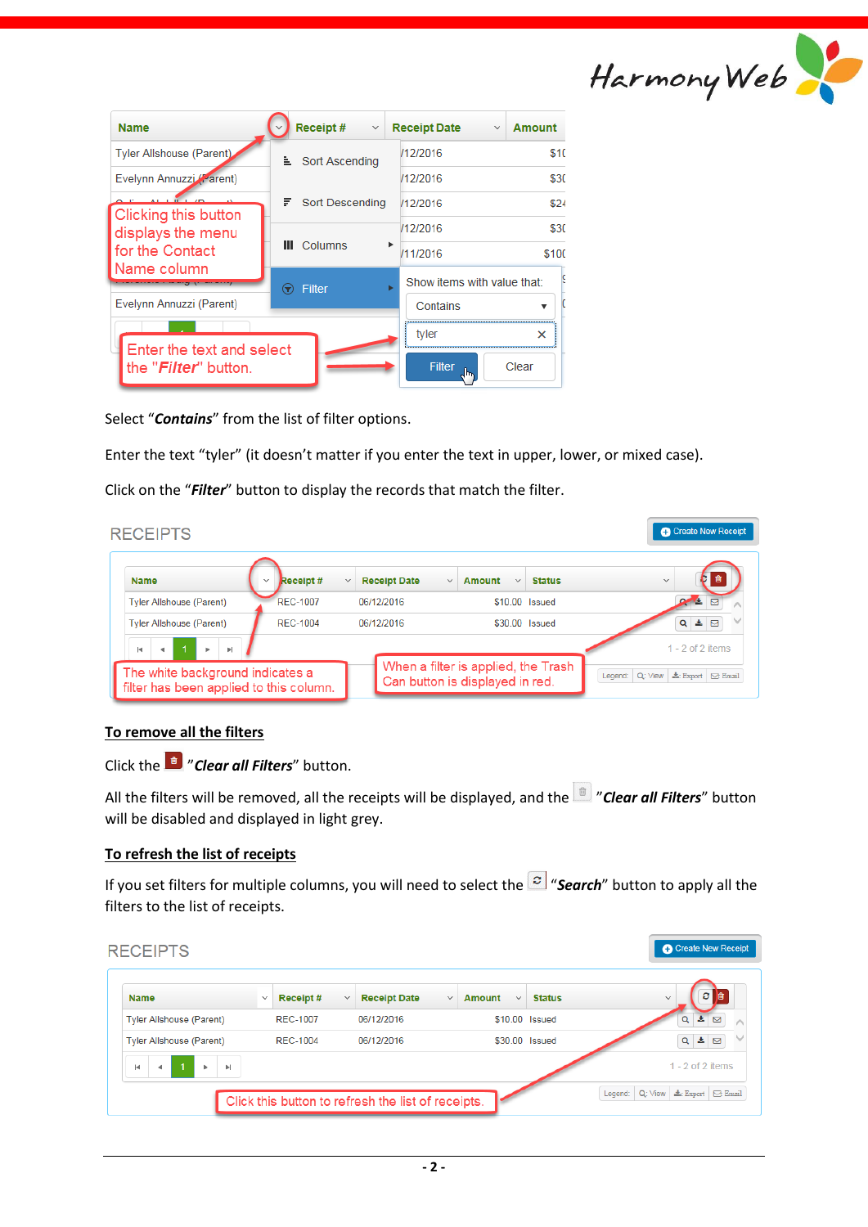

| <b>Name</b>                                                | Receipt#<br>$\checkmark$ | <b>Receipt Date</b><br><b>Amount</b><br>$\checkmark$ |
|------------------------------------------------------------|--------------------------|------------------------------------------------------|
| <b>Tyler Allshouse (Parent)</b>                            | <b>Li</b> Sort Ascending | \$10<br>/12/2016                                     |
| Evelynn Annuzzi (Parent)                                   |                          | \$30<br>/12/2016                                     |
|                                                            | F.<br>Sort Descending    | \$24<br>/12/2016                                     |
| Clicking this button<br>displays the menu                  |                          | \$30<br>/12/2016                                     |
| for the Contact                                            | Columns<br>Ш<br>٠        | /11/2016<br>\$100                                    |
| Name column                                                | <b>Filter</b><br>☞       | Show items with value that:                          |
| Evelynn Annuzzi (Parent)                                   |                          | Contains                                             |
|                                                            |                          | tyler<br>×                                           |
| Enter the text and select<br>the " <i>Filter</i> " button. |                          | Filter<br>Clear<br>hm.                               |

Select "*Contains*" from the list of filter options.

Enter the text "tyler" (it doesn't matter if you enter the text in upper, lower, or mixed case).

Click on the "*Filter*" button to display the records that match the filter.

| <b>RECEIPTS</b>                                                                                                                |                                 |                                     |                                                                        | Create New Receipt                                                              |
|--------------------------------------------------------------------------------------------------------------------------------|---------------------------------|-------------------------------------|------------------------------------------------------------------------|---------------------------------------------------------------------------------|
| <b>Name</b>                                                                                                                    | <b>Receipt#</b><br>$\checkmark$ | <b>Receipt Date</b><br>$\checkmark$ | Amount<br>$\checkmark$<br>$\checkmark$                                 | <b>Status</b><br>$\checkmark$                                                   |
| <b>Tyler Allshouse (Parent)</b>                                                                                                | <b>REC-1007</b>                 | 06/12/2016                          | \$10.00 Issued                                                         | 罓                                                                               |
| <b>Tyler Allshouse (Parent)</b>                                                                                                | <b>REC-1004</b>                 | 06/12/2016                          | \$30.00 Issued                                                         | $\alpha$<br>吉                                                                   |
| $\left\vert \mathbf{r}\right\vert$<br><b>kd</b><br>The white background indicates a<br>filter has been applied to this column. |                                 |                                     | When a filter is applied, the Trash<br>Can button is displayed in red. | $1 - 2$ of 2 items<br>Legend:<br>Q: View<br>$\pm$ : Export<br>$\boxtimes$ Email |

## **To remove all the filters**

Click the "*Clear all Filters*" button.

All the filters will be removed, all the receipts will be displayed, and the "*Clear all Filters*" button will be disabled and displayed in light grey.

## **To refresh the list of receipts**

If you set filters for multiple columns, you will need to select the  $\left| \mathcal{S} \right|$  "**Search**" button to apply all the filters to the list of receipts.

| <b>Name</b>                     | $\checkmark$ | <b>Receipt#</b> | $\checkmark$ | <b>Receipt Date</b> | <b>Amount</b><br>$\checkmark$ | <b>Status</b><br>$\checkmark$ | 會<br>c<br>$\checkmark$ |
|---------------------------------|--------------|-----------------|--------------|---------------------|-------------------------------|-------------------------------|------------------------|
| <b>Tyler Allshouse (Parent)</b> |              | <b>REC-1007</b> |              | 06/12/2016          |                               | \$10.00 Issued                | 罓<br>Q                 |
| <b>Tyler Allshouse (Parent)</b> |              | <b>REC-1004</b> |              | 06/12/2016          |                               | \$30.00 Issued                | ▲⊠<br>$\alpha$         |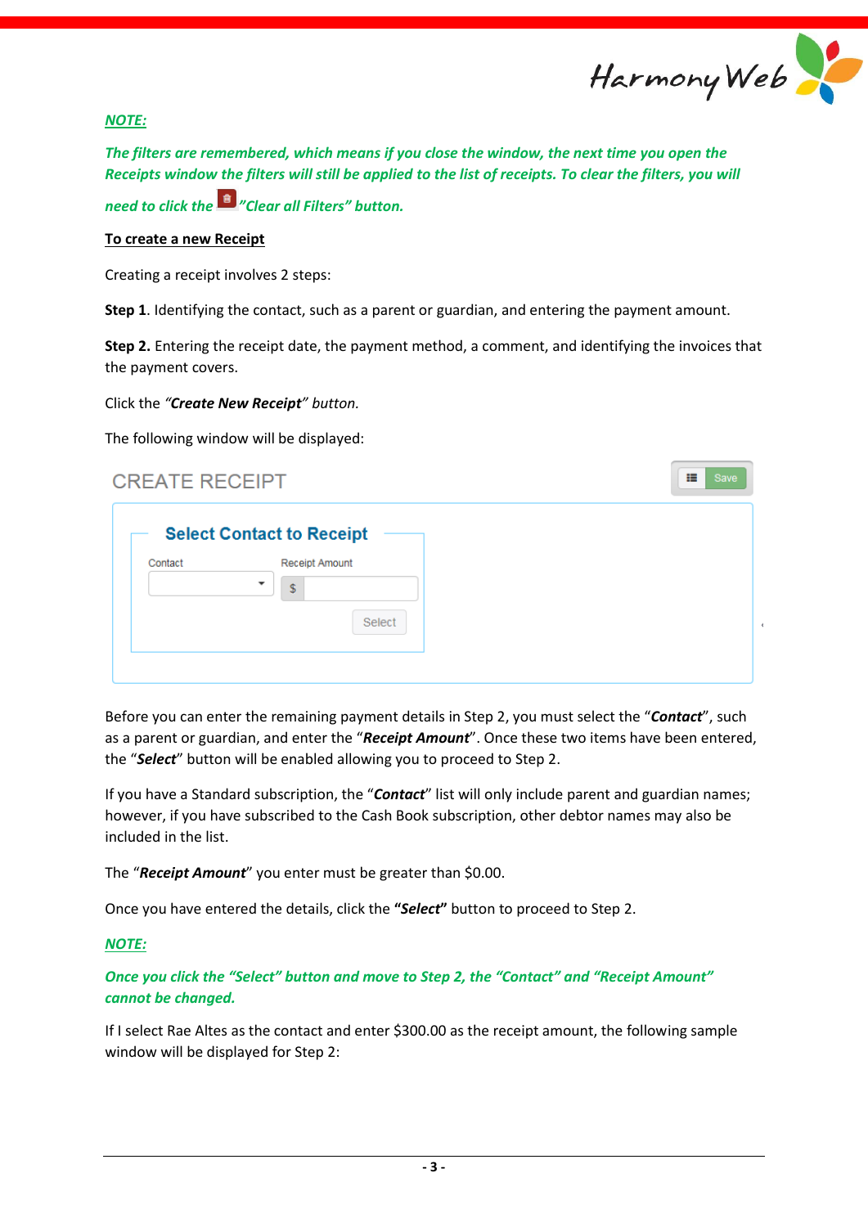

疆

#### *NOTE:*

*The filters are remembered, which means if you close the window, the next time you open the Receipts window the filters will still be applied to the list of receipts. To clear the filters, you will* 

*need to click the "Clear all Filters" button.*

#### **To create a new Receipt**

Creating a receipt involves 2 steps:

**Step 1**. Identifying the contact, such as a parent or guardian, and entering the payment amount.

**Step 2.** Entering the receipt date, the payment method, a comment, and identifying the invoices that the payment covers.

Click the *"Create New Receipt" button.*

The following window will be displayed:

# **CREATE RECEIPT**

|         | <b>Select Contact to Receipt</b> |  |
|---------|----------------------------------|--|
| Contact | <b>Receipt Amount</b>            |  |
|         | $\blacksquare$<br>\$             |  |
|         | Select                           |  |
|         |                                  |  |

Before you can enter the remaining payment details in Step 2, you must select the "*Contact*", such as a parent or guardian, and enter the "*Receipt Amount*". Once these two items have been entered, the "*Select*" button will be enabled allowing you to proceed to Step 2.

If you have a Standard subscription, the "*Contact*" list will only include parent and guardian names; however, if you have subscribed to the Cash Book subscription, other debtor names may also be included in the list.

The "*Receipt Amount*" you enter must be greater than \$0.00.

Once you have entered the details, click the **"***Select***"** button to proceed to Step 2.

## *NOTE:*

*Once you click the "Select" button and move to Step 2, the "Contact" and "Receipt Amount" cannot be changed.*

If I select Rae Altes as the contact and enter \$300.00 as the receipt amount, the following sample window will be displayed for Step 2: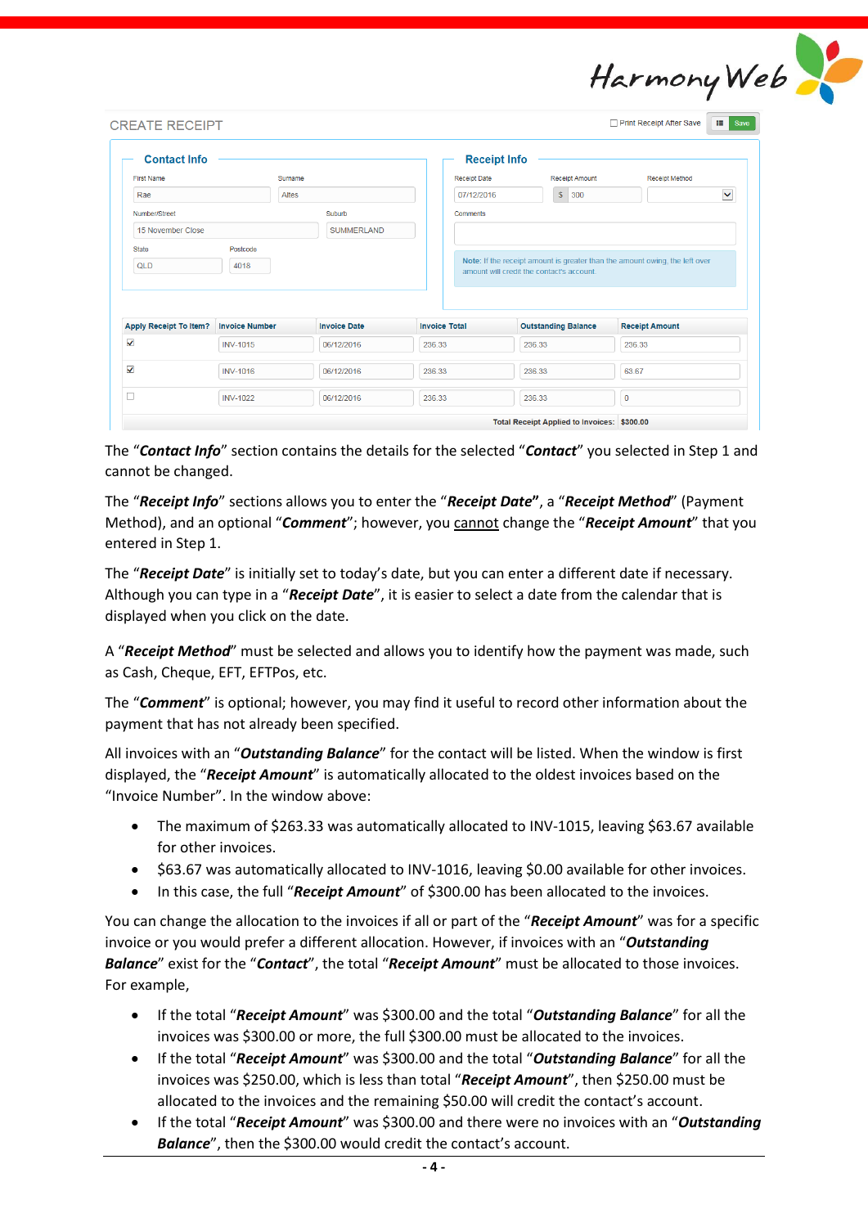| Harmony Web |  |
|-------------|--|
|             |  |

| <b>Contact Info</b>           |                       |                     | <b>Receipt Info</b>  |                                                                                                                          |                       |
|-------------------------------|-----------------------|---------------------|----------------------|--------------------------------------------------------------------------------------------------------------------------|-----------------------|
| <b>First Name</b>             | Surname               |                     | <b>Receipt Date</b>  | <b>Receipt Amount</b>                                                                                                    | <b>Receipt Method</b> |
| Rae                           | <b>Altes</b>          |                     | 07/12/2016           | $\sqrt{\frac{2}{5}}$<br>300                                                                                              | $\checkmark$          |
| Number/Street                 |                       | Suburb              | <b>Comments</b>      |                                                                                                                          |                       |
| 15 November Close             |                       | <b>SUMMERLAND</b>   |                      |                                                                                                                          |                       |
| <b>State</b><br>QLD           | Postcode<br>4018      |                     |                      | Note: If the receipt amount is greater than the amount owing, the left over<br>amount will credit the contact's account. |                       |
| <b>Apply Receipt To Item?</b> | <b>Invoice Number</b> | <b>Invoice Date</b> | <b>Invoice Total</b> | <b>Outstanding Balance</b>                                                                                               | <b>Receipt Amount</b> |
| $\checkmark$                  | <b>INV-1015</b>       | 06/12/2016          | 236.33               | 236.33                                                                                                                   | 236.33                |
| $\checkmark$                  | <b>INV-1016</b>       | 06/12/2016          | 236.33               | 236.33                                                                                                                   | 63.67                 |

The "*Contact Info*" section contains the details for the selected "*Contact*" you selected in Step 1 and cannot be changed.

The "*Receipt Info*" sections allows you to enter the "*Receipt Date***"**, a "*Receipt Method*" (Payment Method), and an optional "*Comment*"; however, you cannot change the "*Receipt Amount*" that you entered in Step 1.

The "*Receipt Date*" is initially set to today's date, but you can enter a different date if necessary. Although you can type in a "*Receipt Date*", it is easier to select a date from the calendar that is displayed when you click on the date.

A "*Receipt Method*" must be selected and allows you to identify how the payment was made, such as Cash, Cheque, EFT, EFTPos, etc.

The "*Comment*" is optional; however, you may find it useful to record other information about the payment that has not already been specified.

All invoices with an "*Outstanding Balance*" for the contact will be listed. When the window is first displayed, the "*Receipt Amount*" is automatically allocated to the oldest invoices based on the "Invoice Number". In the window above:

- The maximum of \$263.33 was automatically allocated to INV-1015, leaving \$63.67 available for other invoices.
- \$63.67 was automatically allocated to INV-1016, leaving \$0.00 available for other invoices.
- In this case, the full "**Receipt Amount**" of \$300.00 has been allocated to the invoices.

You can change the allocation to the invoices if all or part of the "*Receipt Amount*" was for a specific invoice or you would prefer a different allocation. However, if invoices with an "*Outstanding Balance*" exist for the "*Contact*", the total "*Receipt Amount*" must be allocated to those invoices. For example,

- If the total "*Receipt Amount*" was \$300.00 and the total "*Outstanding Balance*" for all the invoices was \$300.00 or more, the full \$300.00 must be allocated to the invoices.
- If the total "*Receipt Amount*" was \$300.00 and the total "*Outstanding Balance*" for all the invoices was \$250.00, which is less than total "*Receipt Amount*", then \$250.00 must be allocated to the invoices and the remaining \$50.00 will credit the contact's account.
- If the total "*Receipt Amount*" was \$300.00 and there were no invoices with an "*Outstanding Balance*", then the \$300.00 would credit the contact's account.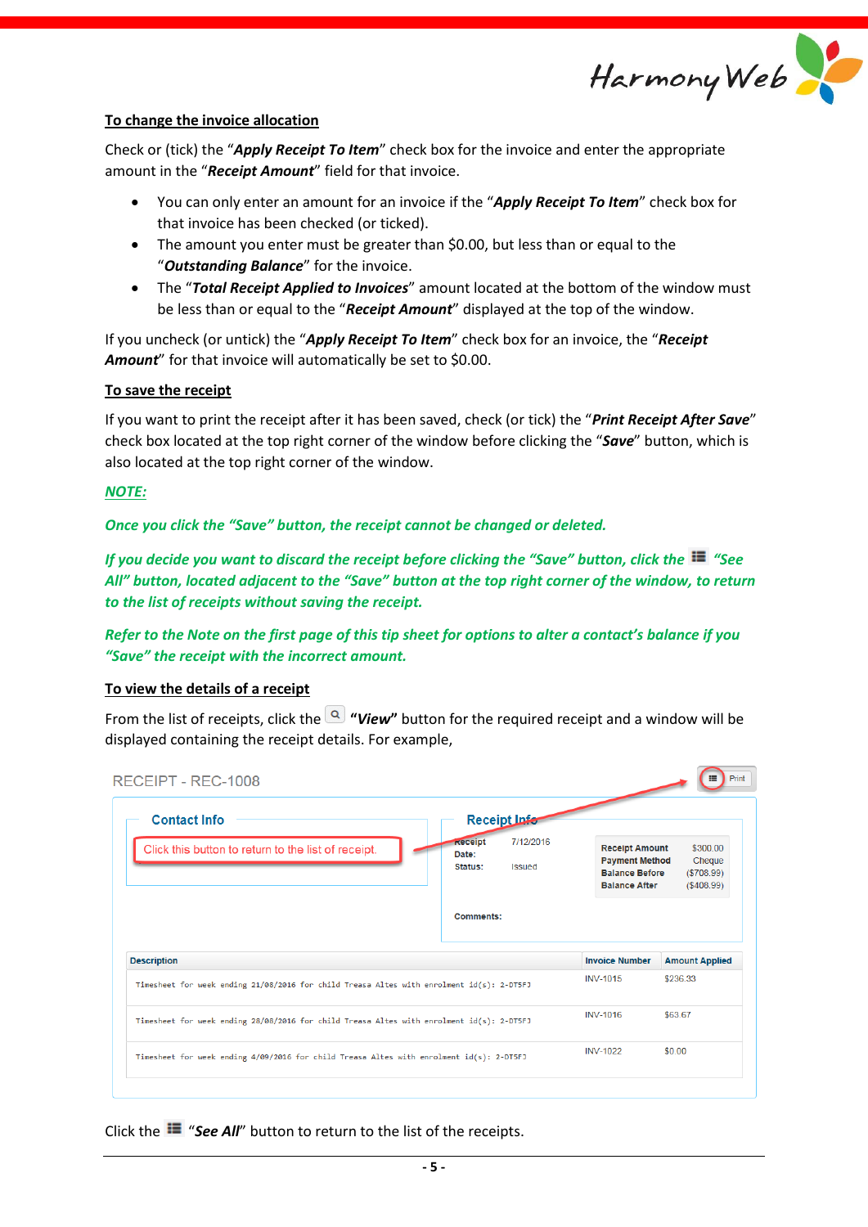

#### **To change the invoice allocation**

Check or (tick) the "*Apply Receipt To Item*" check box for the invoice and enter the appropriate amount in the "*Receipt Amount*" field for that invoice.

- You can only enter an amount for an invoice if the "*Apply Receipt To Item*" check box for that invoice has been checked (or ticked).
- The amount you enter must be greater than \$0.00, but less than or equal to the "*Outstanding Balance*" for the invoice.
- The "*Total Receipt Applied to Invoices*" amount located at the bottom of the window must be less than or equal to the "*Receipt Amount*" displayed at the top of the window.

If you uncheck (or untick) the "*Apply Receipt To Item*" check box for an invoice, the "*Receipt Amount*" for that invoice will automatically be set to \$0.00.

#### **To save the receipt**

If you want to print the receipt after it has been saved, check (or tick) the "*Print Receipt After Save*" check box located at the top right corner of the window before clicking the "*Save*" button, which is also located at the top right corner of the window.

#### *NOTE:*

*Once you click the "Save" button, the receipt cannot be changed or deleted.*

*If you decide you want to discard the receipt before clicking the "Save" button, click the "See All" button, located adjacent to the "Save" button at the top right corner of the window, to return to the list of receipts without saving the receipt.*

## *Refer to the Note on the first page of this tip sheet for options to alter a contact's balance if you "Save" the receipt with the incorrect amount.*

#### **To view the details of a receipt**

From the list of receipts, click the **"***View***"** button for the required receipt and a window will be displayed containing the receipt details. For example,

| <b>Contact Info</b>                                                                                             |                                    | Receipt Infor              |                                                                                                 |                                                 |
|-----------------------------------------------------------------------------------------------------------------|------------------------------------|----------------------------|-------------------------------------------------------------------------------------------------|-------------------------------------------------|
| Click this button to return to the list of receipt.                                                             | <b>Receipt</b><br>Date:<br>Status: | 7/12/2016<br><b>Issued</b> | <b>Receipt Amount</b><br><b>Payment Method</b><br><b>Balance Before</b><br><b>Balance After</b> | \$300.00<br>Cheque<br>(\$708.99)<br>( \$408.99) |
|                                                                                                                 |                                    |                            |                                                                                                 |                                                 |
|                                                                                                                 | Comments:                          |                            |                                                                                                 |                                                 |
|                                                                                                                 |                                    |                            | <b>Invoice Number</b>                                                                           |                                                 |
| Timesheet for week ending $21/08/2016$ for child Treasa Altes with enrolment $id(s)$ : 2-DT5FJ                  |                                    |                            | <b>INV-1015</b>                                                                                 | <b>Amount Applied</b><br>\$236.33               |
| <b>Description</b><br>Timesheet for week ending 28/08/2016 for child Treasa Altes with enrolment id(s): 2-DT5FJ |                                    |                            | <b>INV-1016</b>                                                                                 | \$63.67                                         |

Click the  $\blacksquare$  "See All" button to return to the list of the receipts.